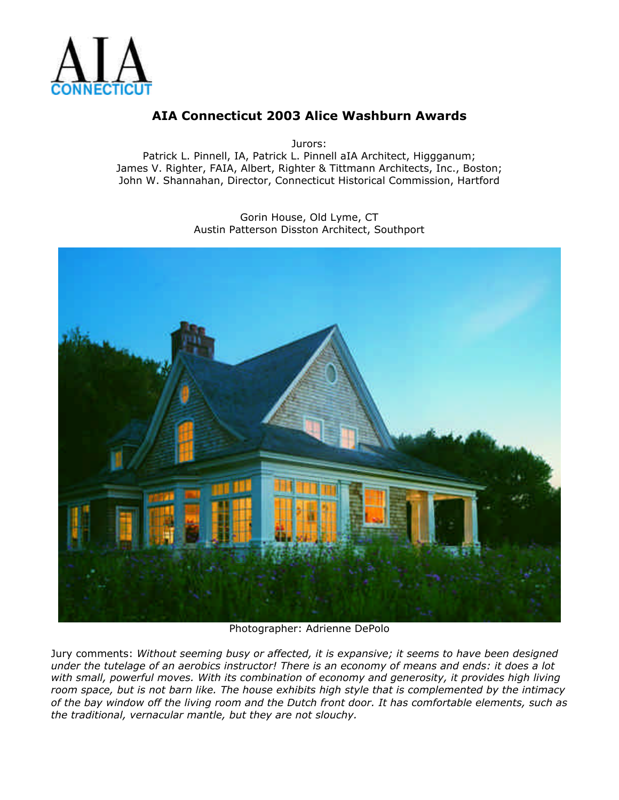

Jurors:

Patrick L. Pinnell, IA, Patrick L. Pinnell aIA Architect, Higgganum; James V. Righter, FAIA, Albert, Righter & Tittmann Architects, Inc., Boston; John W. Shannahan, Director, Connecticut Historical Commission, Hartford

> Gorin House, Old Lyme, CT Austin Patterson Disston Architect, Southport



Photographer: Adrienne DePolo

Jury comments: *Without seeming busy or affected, it is expansive; it seems to have been designed under the tutelage of an aerobics instructor! There is an economy of means and ends: it does a lot with small, powerful moves. With its combination of economy and generosity, it provides high living room space, but is not barn like. The house exhibits high style that is complemented by the intimacy of the bay window off the living room and the Dutch front door. It has comfortable elements, such as the traditional, vernacular mantle, but they are not slouchy.*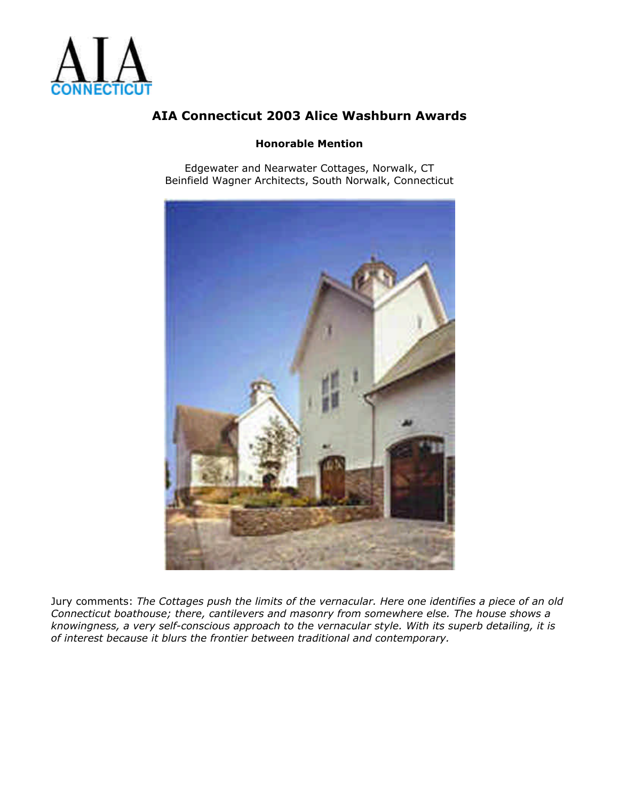

#### **Honorable Mention**

Edgewater and Nearwater Cottages, Norwalk, CT Beinfield Wagner Architects, South Norwalk, Connecticut



Jury comments: *The Cottages push the limits of the vernacular. Here one identifies a piece of an old Connecticut boathouse; there, cantilevers and masonry from somewhere else. The house shows a knowingness, a very self-conscious approach to the vernacular style. With its superb detailing, it is of interest because it blurs the frontier between traditional and contemporary.*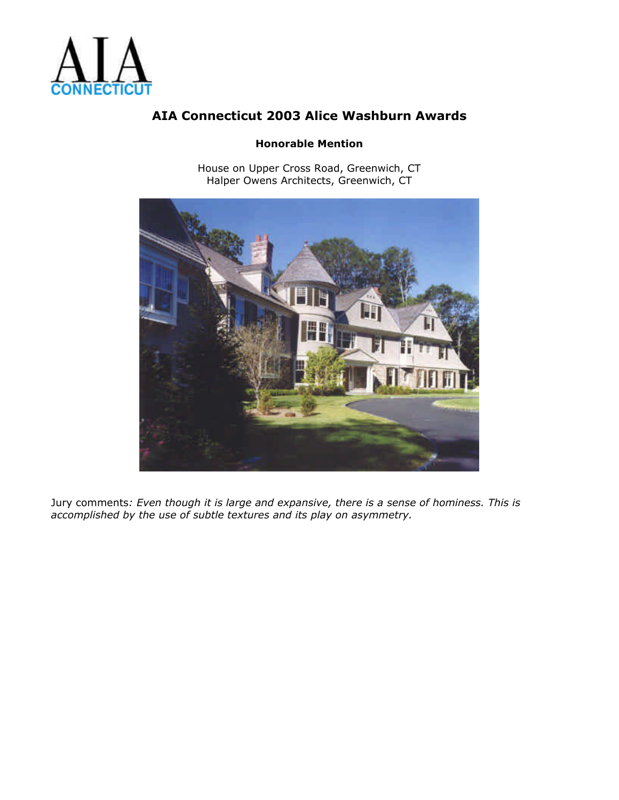

#### **Honorable Mention**

House on Upper Cross Road, Greenwich, CT Halper Owens Architects, Greenwich, CT



Jury comments*: Even though it is large and expansive, there is a sense of hominess. This is accomplished by the use of subtle textures and its play on asymmetry.*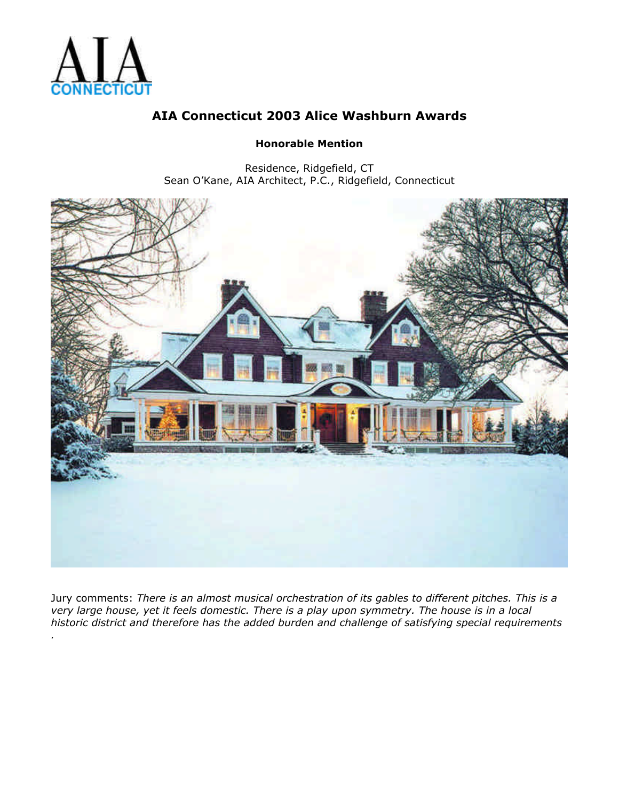

### **Honorable Mention**

Residence, Ridgefield, CT Sean O'Kane, AIA Architect, P.C., Ridgefield, Connecticut



Jury comments: *There is an almost musical orchestration of its gables to different pitches. This is a very large house, yet it feels domestic. There is a play upon symmetry. The house is in a local historic district and therefore has the added burden and challenge of satisfying special requirements*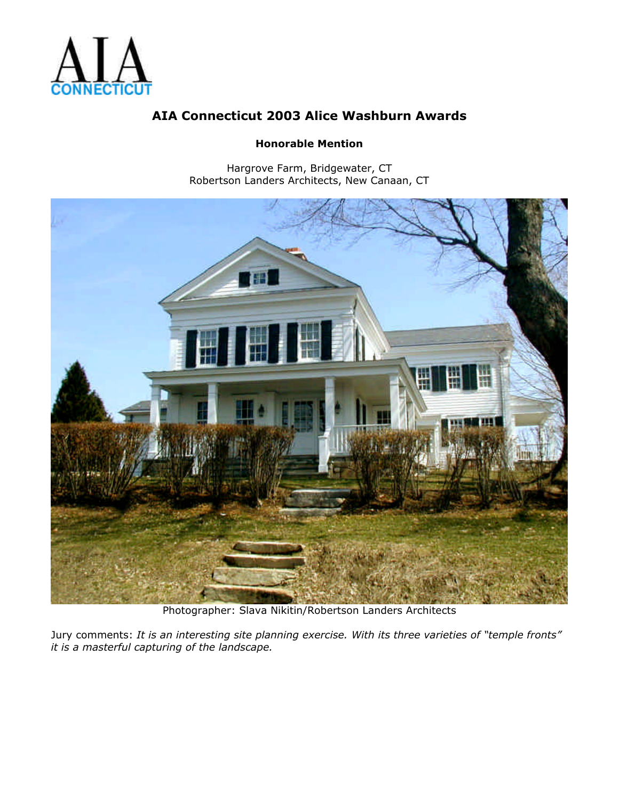

#### **Honorable Mention**

Hargrove Farm, Bridgewater, CT Robertson Landers Architects, New Canaan, CT



Photographer: Slava Nikitin/Robertson Landers Architects

Jury comments: *It is an interesting site planning exercise. With its three varieties of "temple fronts" it is a masterful capturing of the landscape.*